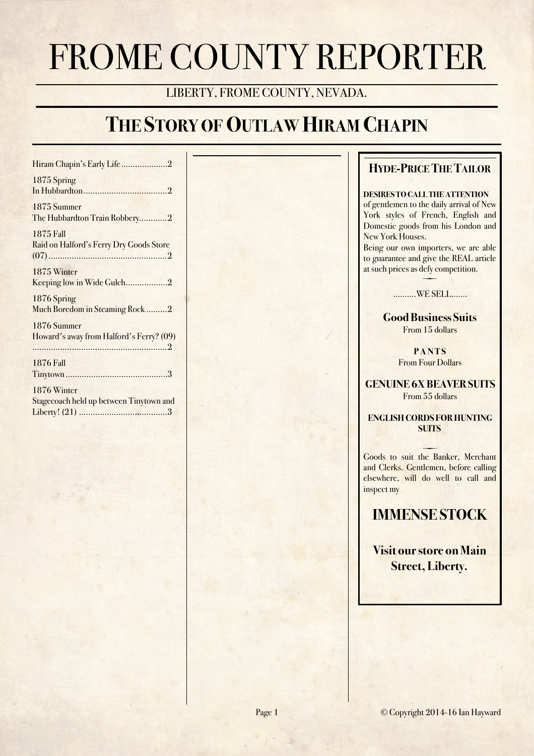# FROME COUNTY REPORTER

# LIBERTY, FROME COUNTY, NEVADA.

# **THE STORY OF OUTLAW HIRAM CHAPIN**

| Hiram Chapin's Early Life2                                  |
|-------------------------------------------------------------|
| 1875 Spring                                                 |
| 1875 Summer<br>The Hubbardton Train Robbery2                |
| <b>1875 Fall</b><br>Raid on Halford's Ferry Dry Goods Store |
| 1875 Winter<br>Keeping low in Wide Gulch2                   |
| 1876 Spring<br>Much Boredom in Steaming Rock 2              |
| 1876 Summer<br>Howard's away from Halford's Ferry? (09)     |
| <b>1876 Fall</b>                                            |
| 1876 Winter<br>Stagecoach held up between Tinytown and      |

Liberty! (21) 3 ......................................

# **HYDE-PRICE THE TAILOR**

#### **DESIRES TO CALL THE ATTENTION**

of gentlemen to the daily arrival of New York styles of French, English and Domestic goods from his London and New York Houses.

Being our own importers, we are able to guarantee and give the REAL article at such prices as defy competition.

> $\overline{\phantom{0}}$ ……….WE SELL…….

**Good Business Suits** From 15 dollars

> **P A N T S** From Four Dollars

**GENUINE 6X BEAVER SUITS** From 55 dollars

**ENGLISH CORDS FOR HUNTING SUITS** 

 Goods to suit the Banker, Merchant and Clerks. Gentlemen, before calling elsewhere, will do well to call and inspect my

**IMMENSE STOCK** 

**Visit our store on Main Street, Liberty.**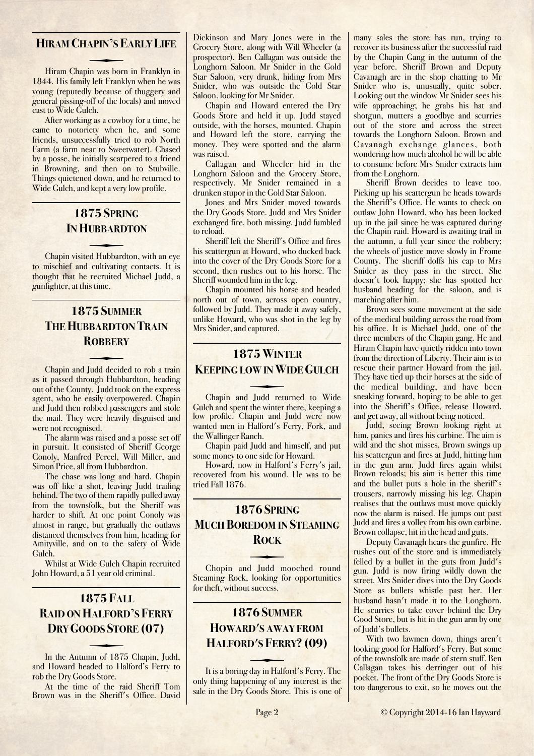#### <span id="page-1-0"></span>**HIRAM CHAPIN'S EARLY LIFE**

Hiram Chapin was born in Franklyn in 1844. His family left Franklyn when he was young (reputedly because of thuggery and general pissing-off of the locals) and moved east to Wide Gulch.

After working as a cowboy for a time, he came to notoriety when he, and some friends, unsuccessfully tried to rob North Farm (a farm near to Sweetwater). Chased by a posse, he initially scarpered to a friend in Browning, and then on to Stubville. Things quietened down, and he returned to Wide Gulch, and kept a very low profile.

# <span id="page-1-1"></span>**1875 SPRING IN HUBBARDTON**

to mischief and cultivating contacts. It is Chapin visited Hubbardton, with an eye thought that he recruited Michael Judd, a gunfighter, at this time.

# <span id="page-1-2"></span>**1875 SUMMER THE HUBBARDTON TRAIN ROBBERY**

as it passed through Hubbardton, heading Chapin and Judd decided to rob a train out of the County. Judd took on the express agent, who he easily overpowered. Chapin and Judd then robbed passengers and stole the mail. They were heavily disguised and were not recognised.

The alarm was raised and a posse set off in pursuit. It consisted of Sheriff George Conoly, Manfred Percel, Will Miller, and Simon Price, all from Hubbardton.

The chase was long and hard. Chapin was off like a shot, leaving Judd trailing behind. The two of them rapidly pulled away from the townsfolk, but the Sheriff was harder to shift. At one point Conoly was almost in range, but gradually the outlaws distanced themselves from him, heading for Amityville, and on to the safety of Wide Gulch.

Whilst at Wide Gulch Chapin recruited John Howard, a 51 year old criminal.

# <span id="page-1-3"></span>**1875 FALL RAID ON HALFORD'S FERRY DRY GOODS STORE (07)**

and Howard headed to Halford's Ferry to In the Autumn of 1875 Chapin, Judd, rob the Dry Goods Store.

At the time of the raid Sheriff Tom Brown was in the Sheriff's Office. David Dickinson and Mary Jones were in the Grocery Store, along with Will Wheeler (a prospector). Ben Callagan was outside the Longhorn Saloon. Mr Snider in the Gold Star Saloon, very drunk, hiding from Mrs Snider, who was outside the Gold Star Saloon, looking for Mr Snider.

Chapin and Howard entered the Dry Goods Store and held it up. Judd stayed outside, with the horses, mounted. Chapin and Howard left the store, carrying the money. They were spotted and the alarm was raised.

Callagan and Wheeler hid in the Longhorn Saloon and the Grocery Store, respectively. Mr Snider remained in a drunken stupor in the Gold Star Saloon.

Jones and Mrs Snider moved towards the Dry Goods Store. Judd and Mrs Snider exchanged fire, both missing. Judd fumbled to reload.

Sheriff left the Sheriff's Office and fires his scattergun at Howard, who ducked back into the cover of the Dry Goods Store for a second, then rushes out to his horse. The Sheriff wounded him in the leg.

Chapin mounted his horse and headed north out of town, across open country, followed by Judd. They made it away safely, unlike Howard, who was shot in the leg by Mrs Snider, and captured.

### <span id="page-1-4"></span>**1875 WINTER KEEPING LOW IN WIDE GULCH**

Gulch and spent the winter there, keeping a Chapin and Judd returned to Wide low profile. Chapin and Judd were now wanted men in Halford's Ferry, Fork, and the Wallinger Ranch.

Chapin paid Judd and himself, and put some money to one side for Howard.

Howard, now in Halford's Ferry's jail, recovered from his wound. He was to be tried Fall 1876.

# <span id="page-1-5"></span>**1876 SPRING MUCH BOREDOM IN STEAMING ROCK**

Steaming Rock, looking for opportunities Chopin and Judd mooched round for theft, without success.

# <span id="page-1-6"></span>**1876 SUMMER HOWARD'S AWAY FROM HALFORD'S FERRY? (09)**

only thing happening of any interest is the It is a boring day in Halford's Ferry. The sale in the Dry Goods Store. This is one of many sales the store has run, trying to recover its business after the successful raid by the Chapin Gang in the autumn of the year before. Sheriff Brown and Deputy Cavanagh are in the shop chatting to Mr Snider who is, unusually, quite sober. Looking out the window Mr Snider sees his wife approaching; he grabs his hat and shotgun, mutters a goodbye and scurries out of the store and across the street towards the Longhorn Saloon. Brown and Cavanagh exchange glances, both wondering how much alcohol he will be able to consume before Mrs Snider extracts him from the Longhorn.

Sheriff Brown decides to leave too. Picking up his scattergun he heads towards the Sheriff's Office. He wants to check on outlaw John Howard, who has been locked up in the jail since he was captured during the Chapin raid. Howard is awaiting trail in the autumn, a full year since the robbery; the wheels of justice move slowly in Frome County. The sheriff doffs his cap to Mrs Snider as they pass in the street. She doesn't look happy; she has spotted her husband heading for the saloon, and is marching after him.

Brown sees some movement at the side of the medical building across the road from his office. It is Michael Judd, one of the three members of the Chapin gang. He and Hiram Chapin have quietly ridden into town from the direction of Liberty. Their aim is to rescue their partner Howard from the jail. They have tied up their horses at the side of the medical building, and have been sneaking forward, hoping to be able to get into the Sheriff's Office, release Howard, and get away, all without being noticed.

Judd, seeing Brown looking right at him, panics and fires his carbine. The aim is wild and the shot misses. Brown swings up his scattergun and fires at Judd, hitting him in the gun arm. Judd fires again whilst Brown reloads; his aim is better this time and the bullet puts a hole in the sheriff's trousers, narrowly missing his leg. Chapin realises that the outlaws must move quickly now the alarm is raised. He jumps out past Judd and fires a volley from his own carbine. Brown collapse, hit in the head and guts.

Deputy Cavanagh hears the gunfire. He rushes out of the store and is immediately felled by a bullet in the guts from Judd's gun. Judd is now firing wildly down the street. Mrs Snider dives into the Dry Goods Store as bullets whistle past her. Her husband hasn't made it to the Longhorn. He scurries to take cover behind the Dry Good Store, but is hit in the gun arm by one of Judd's bullets.

With two lawmen down, things aren't looking good for Halford's Ferry. But some of the townsfolk are made of stern stuff. Ben Callagan takes his derringer out of his pocket. The front of the Dry Goods Store is too dangerous to exit, so he moves out the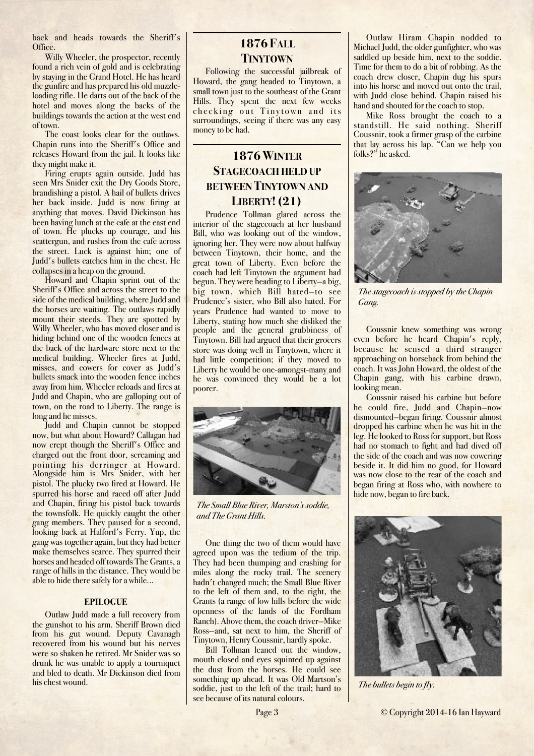back and heads towards the Sheriff's Office.

Willy Wheeler, the prospector, recently found a rich vein of gold and is celebrating by staying in the Grand Hotel. He has heard the gunfire and has prepared his old muzzleloading rifle. He darts out of the back of the hotel and moves along the backs of the buildings towards the action at the west end of town.

The coast looks clear for the outlaws. Chapin runs into the Sheriff's Office and releases Howard from the jail. It looks like they might make it.

Firing erupts again outside. Judd has seen Mrs Snider exit the Dry Goods Store, brandishing a pistol. A hail of bullets drives her back inside. Judd is now firing at anything that moves. David Dickinson has been having lunch at the cafe at the east end of town. He plucks up courage, and his scattergun, and rushes from the cafe across the street. Luck is against him; one of Judd's bullets catches him in the chest. He collapses in a heap on the ground.

Howard and Chapin sprint out of the Sheriff's Office and across the street to the side of the medical building, where Judd and the horses are waiting. The outlaws rapidly mount their steeds. They are spotted by Willy Wheeler, who has moved closer and is hiding behind one of the wooden fences at the back of the hardware store next to the medical building. Wheeler fires at Judd, misses, and cowers for cover as Judd's bullets smack into the wooden fence inches away from him. Wheeler reloads and fires at Judd and Chapin, who are galloping out of town, on the road to Liberty. The range is long and he misses.

Judd and Chapin cannot be stopped now, but what about Howard? Callagan had now crept though the Sheriff's Office and charged out the front door, screaming and pointing his derringer at Howard. Alongside him is Mrs Snider, with her pistol. The plucky two fired at Howard. He spurred his horse and raced off after Judd and Chapin, firing his pistol back towards the townsfolk. He quickly caught the other gang members. They paused for a second, looking back at Halford's Ferry. Yup, the gang was together again, but they had better make themselves scarce. They spurred their horses and headed off towards The Grants, a range of hills in the distance. They would be able to hide there safely for a while...

#### **EPILOGUE**

Outlaw Judd made a full recovery from the gunshot to his arm. Sheriff Brown died from his gut wound. Deputy Cavanagh recovered from his wound but his nerves were so shaken he retired. Mr Snider was so drunk he was unable to apply a tourniquet and bled to death. Mr Dickinson died from his chest wound.

### <span id="page-2-0"></span>**1876 FALL TINYTOWN**

Following the successful jailbreak of Howard, the gang headed to Tinytown, a small town just to the southeast of the Grant Hills. They spent the next few weeks checking out Tinytown and its surroundings, seeing if there was any easy money to be had.

# <span id="page-2-1"></span>**1876 WINTER STAGECOACH HELD UP BETWEEN TINYTOWN AND LIBERTY! (21)**

Prudence Tollman glared across the interior of the stagecoach at her husband Bill, who was looking out of the window, ignoring her. They were now about halfway between Tinytown, their home, and the great town of Liberty. Even before the coach had left Tinytown the argument had begun. They were heading to Liberty—a big, big town, which Bill hated—to see Prudence's sister, who Bill also hated. For years Prudence had wanted to move to Liberty, stating how much she disliked the people and the general grubbiness of Tinytown. Bill had argued that their grocers store was doing well in Tinytown, where it had little competition; if they moved to Liberty he would be one-amongst-many and he was convinced they would be a lot poorer.



*The Small Blue River, Marston's soddie, and The Grant Hills.*

One thing the two of them would have agreed upon was the tedium of the trip. They had been thumping and crashing for miles along the rocky trail. The scenery hadn't changed much; the Small Blue River to the left of them and, to the right, the Grants (a range of low hills before the wide openness of the lands of the Fordham Ranch). Above them, the coach driver—Mike Ross—and, sat next to him, the Sheriff of Tinytown, Henry Coussnir, hardly spoke.

Bill Tollman leaned out the window, mouth closed and eyes squinted up against the dust from the horses. He could see something up ahead. It was Old Martson's soddie, just to the left of the trail; hard to see because of its natural colours.

Outlaw Hiram Chapin nodded to Michael Judd, the older gunfighter, who was saddled up beside him, next to the soddie. Time for them to do a bit of robbing. As the coach drew closer, Chapin dug his spurs into his horse and moved out onto the trail, with Judd close behind. Chapin raised his hand and shouted for the coach to stop.

Mike Ross brought the coach to a standstill. He said nothing. Sheriff Coussnir, took a firmer grasp of the carbine that lay across his lap. "Can we help you folks?" he asked.



*The stagecoach is stopped by the Chapin Gang.*

Coussnir knew something was wrong even before he heard Chapin's reply, because he sensed a third stranger approaching on horseback from behind the coach. It was John Howard, the oldest of the Chapin gang, with his carbine drawn, looking mean.

Coussnir raised his carbine but before he could fire, Judd and Chapin—now dismounted—began firing. Coussnir almost dropped his carbine when he was hit in the leg. He looked to Ross for support, but Ross had no stomach to fight and had dived off the side of the coach and was now cowering beside it. It did him no good, for Howard was now close to the rear of the coach and began firing at Ross who, with nowhere to hide now, began to fire back.



*The bullets begin to fly.*

Page 3 © Copyright 2014-16 Ian Hayward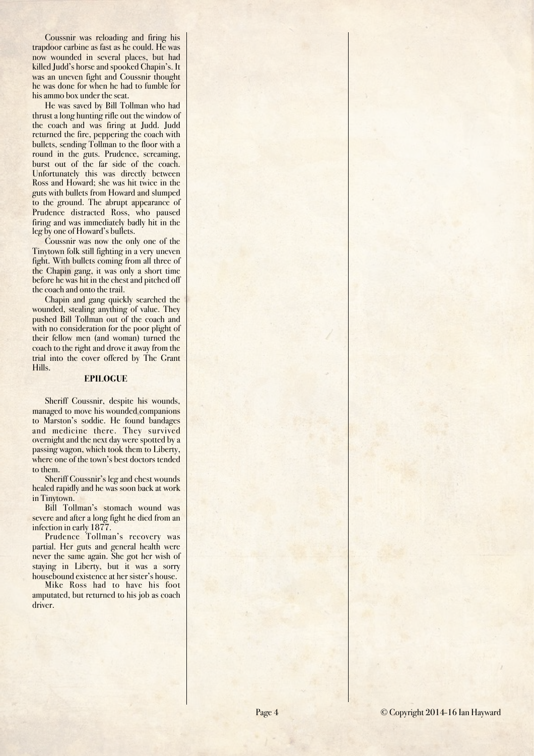Coussnir was reloading and firing his trapdoor carbine as fast as he could. He was now wounded in several places, but had killed Judd's horse and spooked Chapin's. It was an uneven fight and Coussnir thought he was done for when he had to fumble for his ammo box under the seat.

He was saved by Bill Tollman who had thrust a long hunting rifle out the window of the coach and was firing at Judd. Judd returned the fire, peppering the coach with bullets, sending Tollman to the floor with a round in the guts. Prudence, screaming, burst out of the far side of the coach. Unfortunately this was directly between Ross and Howard; she was hit twice in the guts with bullets from Howard and slumped to the ground. The abrupt appearance of Prudence distracted Ross, who paused firing and was immediately badly hit in the leg by one of Howard's bullets.

Coussnir was now the only one of the Tinytown folk still fighting in a very uneven fight. With bullets coming from all three of the Chapin gang, it was only a short time before he was hit in the chest and pitched off the coach and onto the trail.

Chapin and gang quickly searched the wounded, stealing anything of value. They pushed Bill Tollman out of the coach and with no consideration for the poor plight of their fellow men (and woman) turned the coach to the right and drove it away from the trial into the cover offered by The Grant Hills.

#### **EPILOGUE**

Sheriff Coussnir, despite his wounds, managed to move his wounded companions to Marston's soddie. He found bandages and medicine there. They survived overnight and the next day were spotted by a passing wagon, which took them to Liberty, where one of the town's best doctors tended to them.

Sheriff Coussnir's leg and chest wounds healed rapidly and he was soon back at work in Tinytown.

Bill Tollman's stomach wound was severe and after a long fight he died from an infection in early 1877.

Prudence Tollman's recovery was partial. Her guts and general health were never the same again. She got her wish of staying in Liberty, but it was a sorry housebound existence at her sister's house.

Mike Ross had to have his foot amputated, but returned to his job as coach driver.